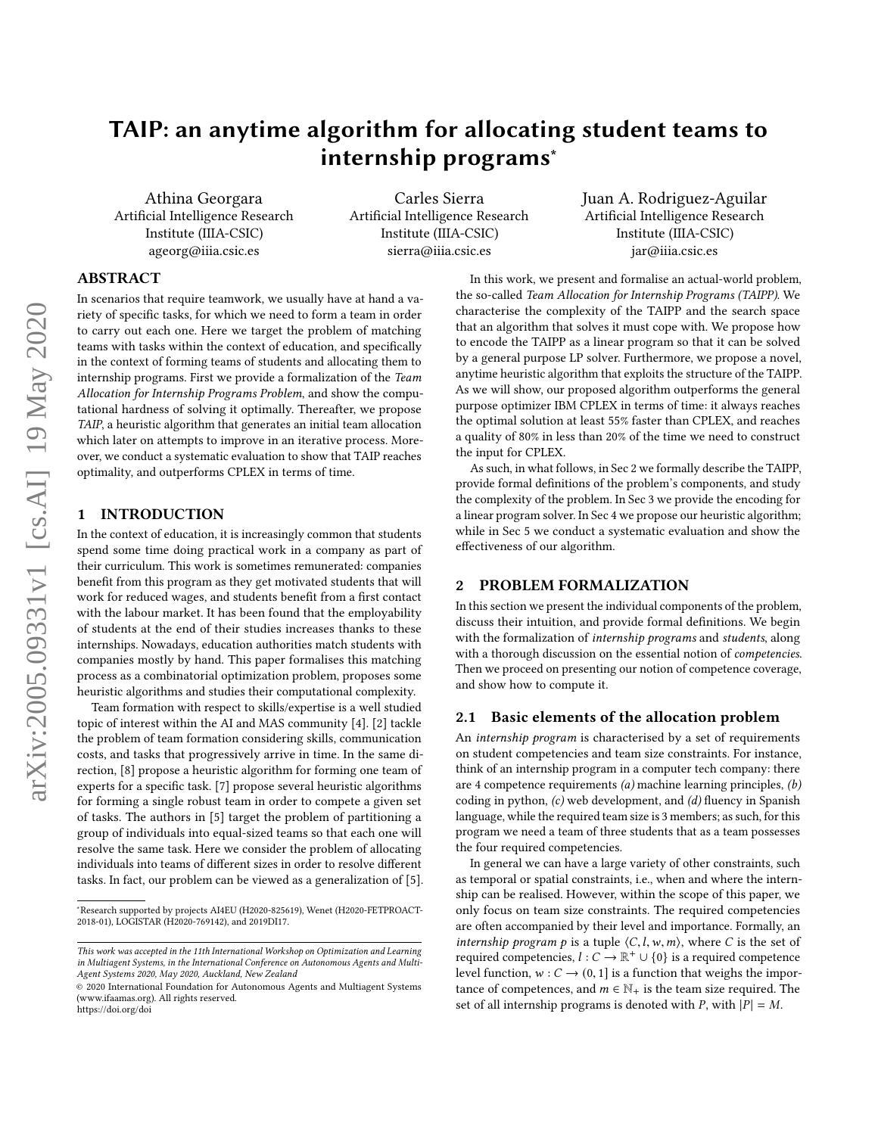# TAIP: an anytime algorithm for allocating student teams to internship programs<sup>∗</sup>

Athina Georgara Artificial Intelligence Research Institute (IIIA-CSIC) ageorg@iiia.csic.es

Carles Sierra Artificial Intelligence Research Institute (IIIA-CSIC) sierra@iiia.csic.es

Juan A. Rodriguez-Aguilar Artificial Intelligence Research Institute (IIIA-CSIC) jar@iiia.csic.es

# ABSTRACT

In scenarios that require teamwork, we usually have at hand a variety of specific tasks, for which we need to form a team in order to carry out each one. Here we target the problem of matching teams with tasks within the context of education, and specifically in the context of forming teams of students and allocating them to internship programs. First we provide a formalization of the Team Allocation for Internship Programs Problem, and show the computational hardness of solving it optimally. Thereafter, we propose TAIP, a heuristic algorithm that generates an initial team allocation which later on attempts to improve in an iterative process. Moreover, we conduct a systematic evaluation to show that TAIP reaches optimality, and outperforms CPLEX in terms of time.

#### 1 INTRODUCTION

In the context of education, it is increasingly common that students spend some time doing practical work in a company as part of their curriculum. This work is sometimes remunerated: companies benefit from this program as they get motivated students that will work for reduced wages, and students benefit from a first contact with the labour market. It has been found that the employability of students at the end of their studies increases thanks to these internships. Nowadays, education authorities match students with companies mostly by hand. This paper formalises this matching process as a combinatorial optimization problem, proposes some heuristic algorithms and studies their computational complexity.

Team formation with respect to skills/expertise is a well studied topic of interest within the AI and MAS community [\[4\]](#page-6-0). [\[2\]](#page-6-1) tackle the problem of team formation considering skills, communication costs, and tasks that progressively arrive in time. In the same direction, [\[8\]](#page-6-2) propose a heuristic algorithm for forming one team of experts for a specific task. [\[7\]](#page-6-3) propose several heuristic algorithms for forming a single robust team in order to compete a given set of tasks. The authors in [\[5\]](#page-6-4) target the problem of partitioning a group of individuals into equal-sized teams so that each one will resolve the same task. Here we consider the problem of allocating individuals into teams of different sizes in order to resolve different tasks. In fact, our problem can be viewed as a generalization of [\[5\]](#page-6-4).

In this work, we present and formalise an actual-world problem, the so-called Team Allocation for Internship Programs (TAIPP). We characterise the complexity of the TAIPP and the search space that an algorithm that solves it must cope with. We propose how to encode the TAIPP as a linear program so that it can be solved by a general purpose LP solver. Furthermore, we propose a novel, anytime heuristic algorithm that exploits the structure of the TAIPP. As we will show, our proposed algorithm outperforms the general purpose optimizer IBM CPLEX in terms of time: it always reaches the optimal solution at least 55% faster than CPLEX, and reaches a quality of 80% in less than 20% of the time we need to construct the input for CPLEX.

As such, in what follows, in Sec [2](#page-0-0) we formally describe the TAIPP, provide formal definitions of the problem's components, and study the complexity of the problem. In Sec [3](#page-3-0) we provide the encoding for a linear program solver. In Sec [4](#page-3-1) we propose our heuristic algorithm; while in Sec [5](#page-5-0) we conduct a systematic evaluation and show the effectiveness of our algorithm.

## <span id="page-0-0"></span>2 PROBLEM FORMALIZATION

In this section we present the individual components of the problem, discuss their intuition, and provide formal definitions. We begin with the formalization of internship programs and students, along with a thorough discussion on the essential notion of competencies. Then we proceed on presenting our notion of competence coverage, and show how to compute it.

# <span id="page-0-1"></span>2.1 Basic elements of the allocation problem

An internship program is characterised by a set of requirements on student competencies and team size constraints. For instance, think of an internship program in a computer tech company: there are 4 competence requirements  $(a)$  machine learning principles,  $(b)$ coding in python, (c) web development, and (d) fluency in Spanish language, while the required team size is 3 members; as such, for this program we need a team of three students that as a team possesses the four required competencies.

In general we can have a large variety of other constraints, such as temporal or spatial constraints, i.e., when and where the internship can be realised. However, within the scope of this paper, we only focus on team size constraints. The required competencies are often accompanied by their level and importance. Formally, an internship program p is a tuple  $\langle C, l, w, m \rangle$ , where C is the set of required competencies,  $l: \overline{C} \to \mathbb{R}^+ \cup \{0\}$  is a required competence<br>level function  $w: \overline{C} \to (0, 1]$  is a function that weight the imporlevel function,  $w : C \rightarrow (0, 1]$  is a function that weighs the importance of competences, and  $m \in \mathbb{N}_+$  is the team size required. The set of all internship programs is denoted with P, with  $|P| = M$ .

<sup>∗</sup>Research supported by projects AI4EU (H2020-825619), Wenet (H2020-FETPROACT-2018-01), LOGISTAR (H2020-769142), and 2019DI17.

This work was accepted in the 11th International Workshop on Optimization and Learning in Multiagent Systems, in the International Conference on Autonomous Agents and Multi-Agent Systems 2020, May 2020, Auckland, New Zealand

<sup>©</sup> 2020 International Foundation for Autonomous Agents and Multiagent Systems (www.ifaamas.org). All rights reserved. <https://doi.org/doi>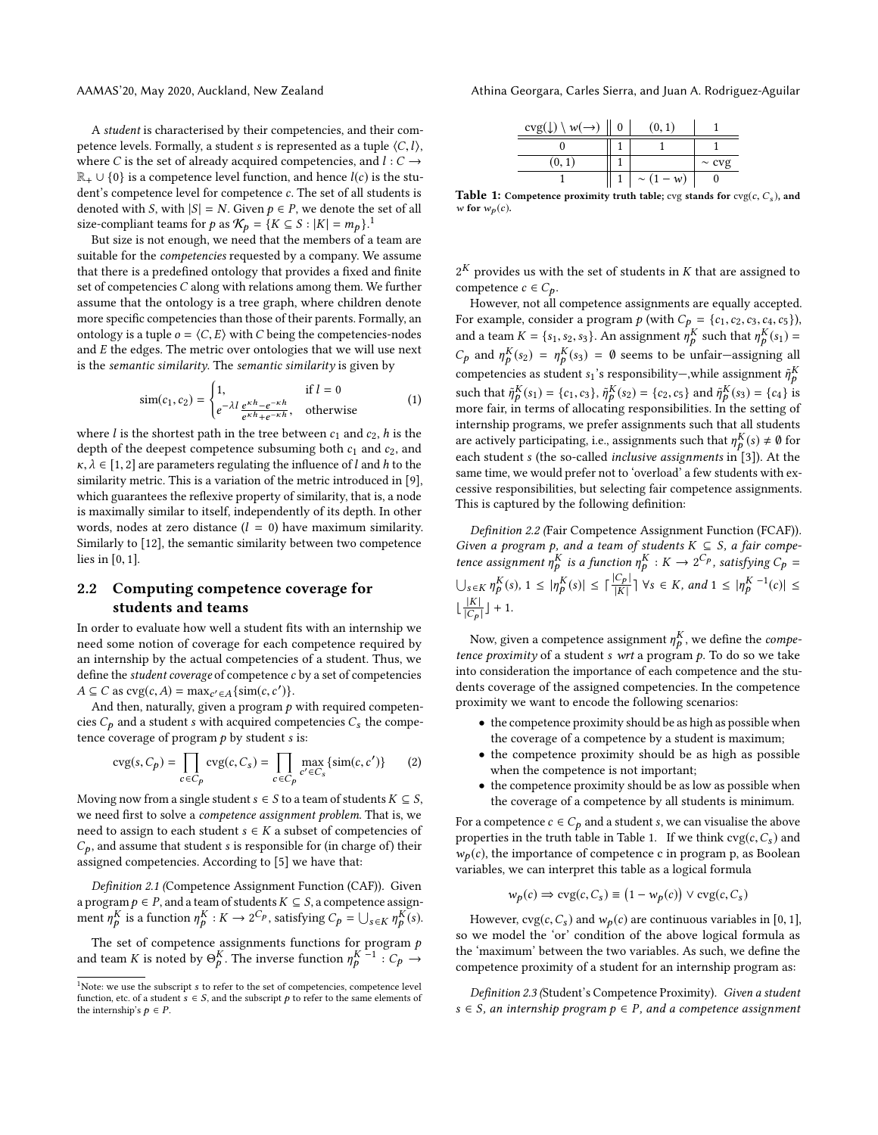A student is characterised by their competencies, and their competence levels. Formally, a student s is represented as a tuple  $\langle C, l \rangle$ , where C is the set of already acquired competencies, and  $l: C \rightarrow$  $\mathbb{R}_+ \cup \{0\}$  is a competence level function, and hence  $l(c)$  is the student's competence level for competence c. The set of all students is denoted with S, with  $|S| = N$ . Given  $p \in P$ , we denote the set of all size-compliant teams for p as  $\mathcal{K}_p = \{K \subseteq S : |K| = m_p\}$ .<sup>[1](#page-1-0)</sup>

But size is not enough, we need that the members of a team are suitable for the competencies requested by a company. We assume that there is a predefined ontology that provides a fixed and finite set of competencies C along with relations among them. We further assume that the ontology is a tree graph, where children denote more specific competencies than those of their parents. Formally, an ontology is a tuple  $o = \langle C, E \rangle$  with C being the competencies-nodes and E the edges. The metric over ontologies that we will use next is the semantic similarity. The semantic similarity is given by

$$
\text{sim}(c_1, c_2) = \begin{cases} 1, & \text{if } l = 0\\ e^{-\lambda l} \frac{e^{\kappa h} - e^{-\kappa h}}{e^{\kappa h} + e^{-\kappa h}}, & \text{otherwise} \end{cases} \tag{1}
$$

where *l* is the shortest path in the tree between  $c_1$  and  $c_2$ , *h* is the denth of the deepest competence subsuming both  $c_1$  and  $c_2$  and depth of the deepest competence subsuming both  $c_1$  and  $c_2$ , and  $\kappa, \lambda \in [1, 2]$  are parameters regulating the influence of l and h to the similarity metric. This is a variation of the metric introduced in [\[9\]](#page-6-5), which guarantees the reflexive property of similarity, that is, a node is maximally similar to itself, independently of its depth. In other words, nodes at zero distance  $(l = 0)$  have maximum similarity. Similarly to [\[12\]](#page-6-6), the semantic similarity between two competence lies in [0, <sup>1</sup>].

# 2.2 Computing competence coverage for students and teams

In order to evaluate how well a student fits with an internship we need some notion of coverage for each competence required by an internship by the actual competencies of a student. Thus, we define the *student coverage* of competence  $c$  by a set of competencies  $A \subseteq C$  as  $\text{cvg}(c, A) = \max_{c' \in A} \{\text{sim}(c, c')\}.$ <br>And then naturally given a program b

And then, naturally, given a program  $p$  with required competencies  $C_p$  and a student s with acquired competencies  $C_s$  the competence coverage of program  $p$  by student  $s$  is:

$$
cvg(s, C_p) = \prod_{c \in C_p} cvg(c, C_s) = \prod_{c \in C_p} \max_{c' \in C_s} \{sim(c, c')\}
$$
 (2)

Moving now from a single student  $s \in S$  to a team of students  $K \subseteq S$ , we need first to solve a competence assignment problem. That is, we need to assign to each student  $s \in K$  a subset of competencies of  $C_p$ , and assume that student s is responsible for (in charge of) their assigned competencies. According to [\[5\]](#page-6-4) we have that:

Definition 2.1 (Competence Assignment Function (CAF)). Given a program  $p \in P$ , and a team of students  $K \subseteq S$ , a competence assignment  $\eta_p^K$  is a function  $\eta_p^K : K \to 2^{C_p}$ , satisfying  $C_p = \bigcup_{s \in K} \eta_p^K(s)$ .

The set of competence assignments functions for program  $p$ and team K is noted by  $\Theta_p^K$ . The inverse function  $\eta_p^{K-1}$  :  $C_p \rightarrow$ 

AAMAS'20, May 2020, Auckland, New Zealand Athina Georgara, Carles Sierra, and Juan A. Rodriguez-Aguilar

<span id="page-1-1"></span>

| $\text{cvg}(\downarrow) \setminus w(\rightarrow)$ | (0, 1)           |            |
|---------------------------------------------------|------------------|------------|
|                                                   |                  |            |
| (0, 1)                                            |                  | $\sim$ cvg |
|                                                   | $1 \sim (1 - w)$ |            |
| .                                                 |                  |            |

**Table 1:** Competence proximity truth table;  $\text{cvg}$  stands for  $\text{cvg}(c, C_s)$ , and w for  $w_n(c)$ . w for  $w_p(c)$ .

 $2^K$  provides us with the set of students in K that are assigned to competence  $c \in C$ . competence  $c \in C_p$ .

However, not all competence assignments are equally accepted. For example, consider a program  $p$  (with  $C_p = \{c_1, c_2, c_3, c_4, c_5\}$ ), and a team  $K = \{s_1, s_2, s_3\}$ . An assignment  $\eta_p^K$  such that  $\eta_p^K(s_1) =$  $C_p$  and  $\eta_p^K(s_2) = \eta_p^K(s_3) = \emptyset$  seems to be unfair-assigning all competencies as student s<sub>1</sub>'s responsibility—, while assignment  $\tilde{\eta}_p^K$ such that  $\tilde{\eta}_P^K(s_1) = \{c_1, c_3\}$ ,  $\tilde{\eta}_P^K(s_2) = \{c_2, c_5\}$  and  $\tilde{\eta}_P^K(s_3) = \{c_4\}$  is more fair, in terms of allocating responsibilities. In the setting of internship programs, we prefer assignments such that all students are actively participating, i.e., assignments such that  $\eta_{P}^{K}(s) \neq \emptyset$  for each student s (the so-called *inclusive assignments* in [\[3\]](#page-6-7)). At the<br>same time we would prefer not to 'overload' a few students with exsame time, we would prefer not to 'overload' a few students with excessive responsibilities, but selecting fair competence assignments. This is captured by the following definition:

<span id="page-1-2"></span>Definition 2.2 (Fair Competence Assignment Function (FCAF)). Given a program p, and a team of students  $K \subseteq S$ , a fair competence assignment  $n^K$  is a function  $n^K \cdot K \longrightarrow 2^{C_p}$  satisfying  $C =$ tence assignment  $\eta_p^K$  is a function  $\eta_p^K : K \to 2^{C_p}$ , satisfying  $C_p =$  $\bigcup_{s \in K} \eta_{p}^{K}(s), 1 \leq |\eta_{p}^{K}(s)| \leq \lceil \frac{|C_{p}|}{|K|} \rceil \ \forall s \in K, \text{ and } 1 \leq |\eta_{p}^{K-1}(c)| \leq$  $\lfloor \frac{|K|}{|C|} \rfloor$  $\frac{|K|}{|C_p|}$  | + 1.

Now, given a competence assignment  $\eta^K$ , we define the *compe-*<br>here proximity of a student s with a proximing  $\Gamma$  of a so we take tence proximity of a student s wrt a program p. To do so we take into consideration the importance of each competence and the students coverage of the assigned competencies. In the competence proximity we want to encode the following scenarios:

- the competence proximity should be as high as possible when the coverage of a competence by a student is maximum;
- the competence proximity should be as high as possible when the competence is not important;
- the competence proximity should be as low as possible when the coverage of a competence by all students is minimum.

For a competence  $c \in C_p$  and a student s, we can visualise the above properties in the truth table in Table [1.](#page-1-1) If we think  $\text{cvg}(c, C_s)$  and  $w_p(c)$ , the importance of competence c in program p, as Boolean variables, we can interpret this table as a logical formula

$$
w_p(c) \Rightarrow \text{cvg}(c, C_s) \equiv (1 - w_p(c)) \lor \text{cvg}(c, C_s)
$$

However,  $\text{cvg}(c, C_s)$  and  $w_p(c)$  are continuous variables in [0, 1], so we model the 'or' condition of the above logical formula as the 'maximum' between the two variables. As such, we define the competence proximity of a student for an internship program as:

Definition 2.3 (Student's Competence Proximity). Given a student  $s \in S$ , an internship program  $p \in P$ , and a competence assignment

<span id="page-1-0"></span> $1$ Note: we use the subscript  $s$  to refer to the set of competencies, competence level function, etc. of a student  $s \in S$ , and the subscript p to refer to the same elements of the internship's  $p \in P$ .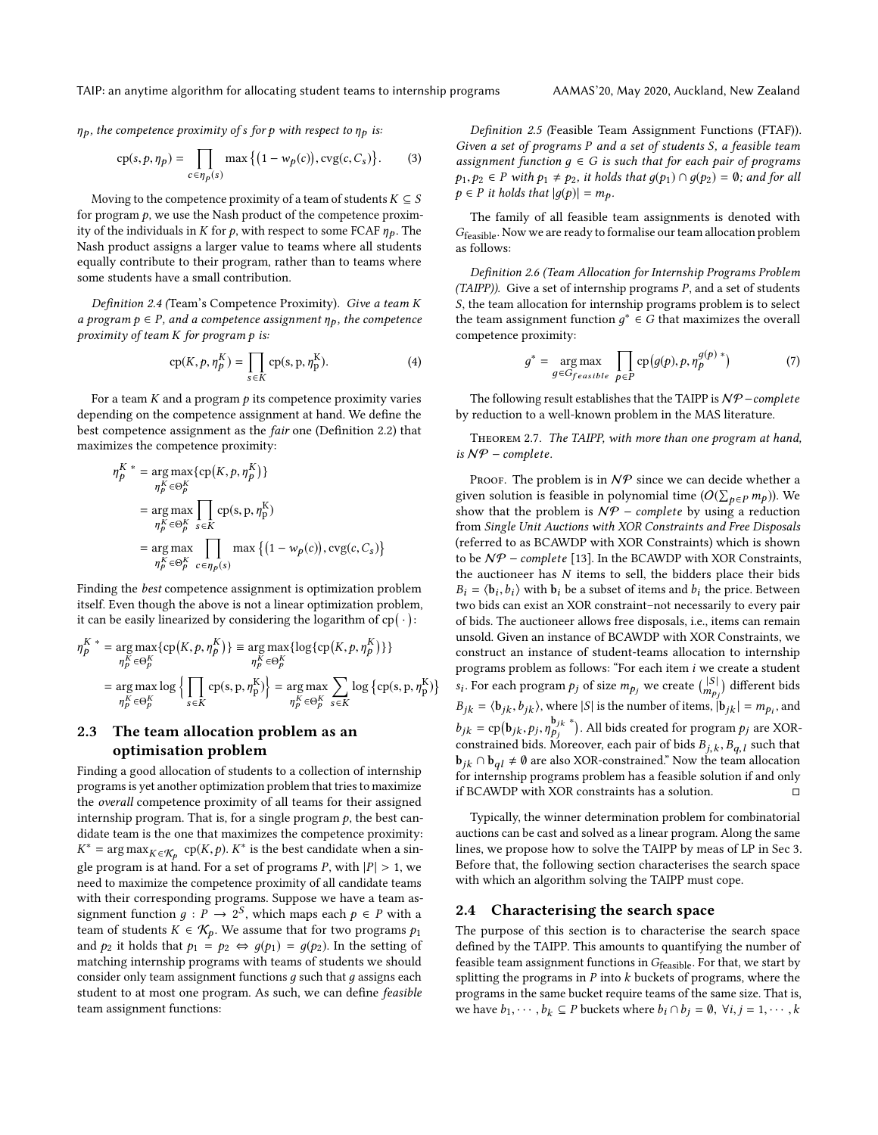$\eta_p$ , the competence proximity of s for p with respect to  $\eta_p$  is:

$$
cp(s, p, \eta_p) = \prod_{c \in \eta_p(s)} \max\left\{ (1 - w_p(c)), \text{cvg}(c, C_s) \right\}. \tag{3}
$$

Moving to the competence proximity of a team of students  $K \subseteq S$ for program  $p$ , we use the Nash product of the competence proximity of the individuals in K for p, with respect to some FCAF  $\eta_p$ . The Nash product assigns a larger value to teams where all students equally contribute to their program, rather than to teams where some students have a small contribution.

<span id="page-2-1"></span>Definition 2.4 (Team's Competence Proximity). Give a team K a program  $p \in P$ , and a competence assignment  $\eta_p$ , the competence proximity of team K for program p is:

$$
cp(K, p, \eta_p^K) = \prod_{s \in K} cp(s, p, \eta_p^K).
$$
 (4)

For a team  $K$  and a program  $p$  its competence proximity varies depending on the competence assignment at hand. We define the best competence assignment as the fair one (Definition [2.2\)](#page-1-2) that maximizes the competence proximity:

$$
\eta_p^{K^*} = \arg \max \{ \text{cp}(K, p, \eta_p^K) \}
$$
  
\n
$$
\eta_p^{K} \in \Theta_p^K
$$
  
\n
$$
= \arg \max \prod_{\eta_p^K \in \Theta_p^K} \text{cp}(s, p, \eta_p^K)
$$
  
\n
$$
= \arg \max \prod_{\eta_p^K \in \Theta_p^K} \max \{ (1 - w_p(c)), \text{cvg}(c, C_s) \}
$$

Finding the best competence assignment is optimization problem itself. Even though the above is not a linear optimization problem, it can be easily linearized by considering the logarithm of  $cp(·)$ :

$$
\eta_P^{K*} = \underset{\eta_P^K \in \Theta_P^K}{\arg \max} \{ \text{cp}(K, p, \eta_P^K) \} \equiv \underset{\eta_P^K \in \Theta_P^K}{\arg \max} \{ \text{log}\{ \text{cp}(K, p, \eta_P^K) \} \}
$$
\n
$$
= \underset{\eta_P^K \in \Theta_P^K}{\arg \max} \log \left\{ \prod_{s \in K} \text{cp}(s, p, \eta_P^K) \right\} = \underset{\eta_P^K \in \Theta_P^K}{\arg \max} \sum_{s \in K} \log \{ \text{cp}(s, p, \eta_P^K) \}
$$

}

# 2.3 The team allocation problem as an optimisation problem

Finding a good allocation of students to a collection of internship programs is yet another optimization problem that tries to maximize the overall competence proximity of all teams for their assigned internship program. That is, for a single program  $p$ , the best candidate team is the one that maximizes the competence proximity: gle program is at hand. For a set of programs P, with  $|P| > 1$ , we<br>need to movimize the competence provinity of all condidate teams <sup>\*</sup> = arg max $_{K \in \mathcal{K}_p}$  cp(*K*, *p*).  $K^*$  is the best candidate when a sin-<br>convergence is the best candidate when a sinneed to maximize the competence proximity of all candidate teams with their corresponding programs. Suppose we have a team assignment function  $g : P \to 2^S$ , which maps each  $p \in P$  with a team of students  $K \in \mathcal{K}$ . We assume that for two programs  $p$ . team of students  $K \in \mathcal{K}_p$ . We assume that for two programs  $p_1$ and  $p_2$  it holds that  $p_1 = p_2 \Leftrightarrow g(p_1) = g(p_2)$ . In the setting of matching internship programs with teams of students we should consider only team assignment functions  $g$  such that  $g$  assigns each student to at most one program. As such, we can define feasible team assignment functions:

Definition 2.5 (Feasible Team Assignment Functions (FTAF)). Given a set of programs P and a set of students S, a feasible team assignment function  $g \in G$  is such that for each pair of programs  $p_1, p_2 \in P$  with  $p_1 \neq p_2$ , it holds that  $q(p_1) \cap q(p_2) = \emptyset$ ; and for all  $p \in P$  it holds that  $|q(p)| = m_p$ .

The family of all feasible team assignments is denoted with Gfeasible. Now we are ready to formalise our team allocation problem as follows:

<span id="page-2-0"></span>Definition 2.6 (Team Allocation for Internship Programs Problem (TAIPP)). Give a set of internship programs P, and a set of students S, the team allocation for internship programs problem is to select the team assignment function  $g^* \in G$  that maximizes the overall competence provinity: competence proximity:

$$
g^* = \underset{g \in G_{feasible}}{\arg \max} \prod_{p \in P} \text{cp}(g(p), p, \eta_p^{g(p)*}) \tag{7}
$$

The following result establishes that the TAIPP is NP - complete by reduction to a well-known problem in the MAS literature.

Theorem 2.7. The TAIPP, with more than one program at hand, is  $\mathcal{NP}$  – complete.

PROOF. The problem is in  $N$  $P$  since we can decide whether a given solution is feasible in polynomial time  $(O(\sum_{p \in P} m_p))$ . We show that the problem is  $N\mathcal{P}$  – complete by using a reduction show that the problem is  $N P$  – complete by using a reduction from Single Unit Auctions with XOR Constraints and Free Disposals (referred to as BCAWDP with XOR Constraints) which is shown to be  $N P$  – complete [\[13\]](#page-6-8). In the BCAWDP with XOR Constraints, the auctioneer has  $N$  items to sell, the bidders place their bids  $B_i = \langle \mathbf{b}_i, b_i \rangle$  with  $\mathbf{b}_i$  be a subset of items and  $b_i$  the price. Between two bids can exist an XOB constraint-not necessarily to every pair two bids can exist an XOR constraint–not necessarily to every pair of bids. The auctioneer allows free disposals, i.e., items can remain unsold. Given an instance of BCAWDP with XOR Constraints, we construct an instance of student-teams allocation to internship programs problem as follows: "For each item i we create a student  $B_{jk} = \langle \mathbf{b}_{jk}, \mathbf{b}_{jk} \rangle$ , where  $|S|$  is the number of items,  $|\mathbf{b}_{jk}| = m_{p_i}$ , and . For each program  $p_j$  of size  $m_{p_j}$  we create  $\binom{|S|}{m_{p_j}}$  different bids  $b_{jk} = \text{cp}(b_{jk}, p_j, \eta)$  $\frac{b_{jk}}{p_j}$  \*). All bids created for program  $p_j$  are XOR-<br>Moreover, each poin of bide  $P$  =  $P$  = such that constrained bids. Moreover, each pair of bids  $B_{j,k}$ ,  $B_{q,l}$  such that<br>b.:  $\bigcirc$  b.  $i \neq \emptyset$  are also XOR-constrained". Now the team allocation  $\mathbf{b}_{jk} \cap \mathbf{b}_{ql} \neq \emptyset$  are also XOR-constrained." Now the team allocation<br>for internship programs problem has a feasible solution if and only for internship programs problem has a feasible solution if and only if BCAWDP with XOR constraints has a solution.  $\hfill \Box$ 

Typically, the winner determination problem for combinatorial auctions can be cast and solved as a linear program. Along the same lines, we propose how to solve the TAIPP by meas of LP in Sec [3.](#page-3-0) Before that, the following section characterises the search space with which an algorithm solving the TAIPP must cope.

#### 2.4 Characterising the search space

The purpose of this section is to characterise the search space defined by the TAIPP. This amounts to quantifying the number of feasible team assignment functions in  $G_{\rm feasible}$  . For that, we start by splitting the programs in  $P$  into  $k$  buckets of programs, where the programs in the same bucket require teams of the same size. That is, we have  $b_1, \dots, b_k \subseteq P$  buckets where  $b_i \cap b_j = \emptyset$ ,  $\forall i, j = 1, \dots, k$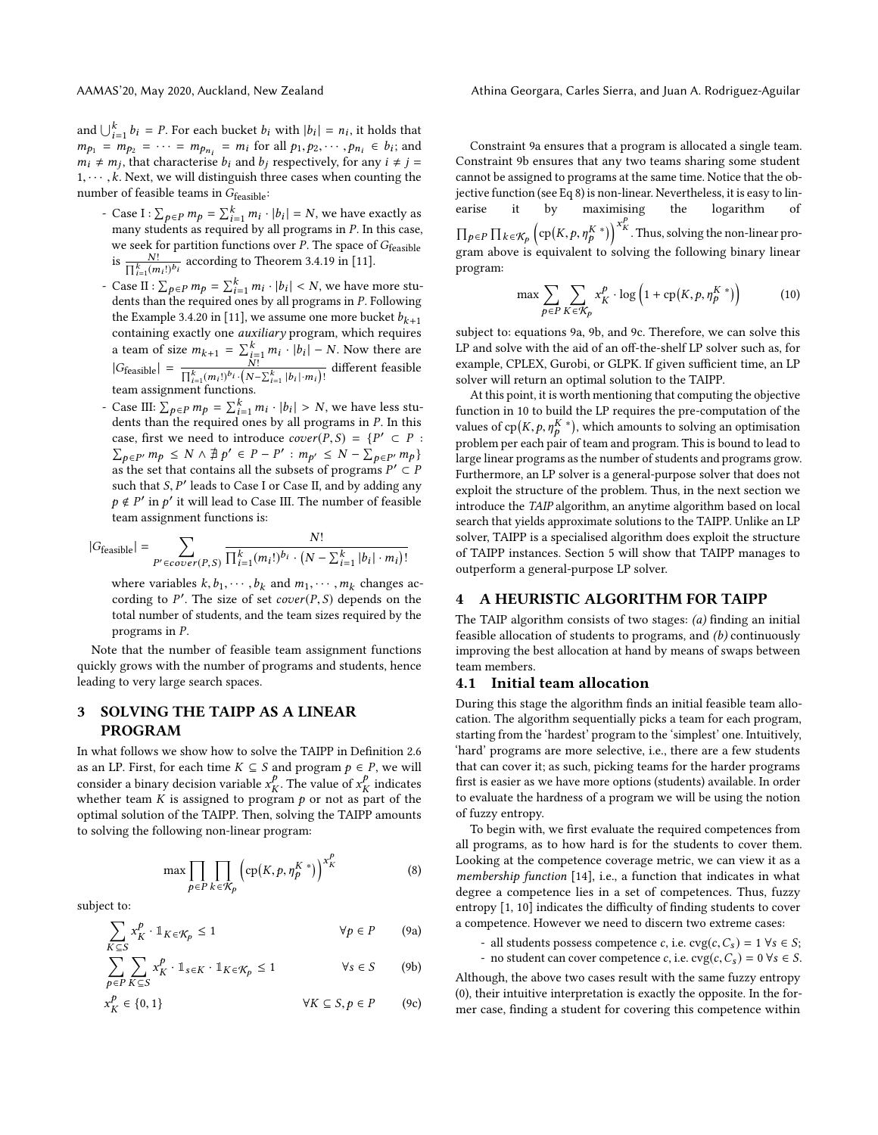and  $\bigcup_{i=1}^{k} b_i = P$ . For each bucket  $b_i$  with  $|b_i| = n_i$ , it holds that  $m = m$ ,  $\pi$ ,  $m$ ,  $\pi$ ,  $m$ ,  $\pi$ ,  $m$ ,  $\pi$ ,  $m$ ,  $\pi$ ,  $\pi$ ,  $\pi$ ,  $\pi$ ,  $\pi$ ,  $\pi$ ,  $\pi$ ,  $\pi$ ,  $\pi$ ,  $\pi$ ,  $\pi$ ,  $\pi$ ,  $\pi$ ,  $\pi$ ,  $\pi$ ,  $\pi$ , and  $\bigcup_{i=1}^{n} b_i = P$ . For each bucket  $b_i$  with  $|b_i| = n_i$ , it holds that<br>  $m_{p_1} = m_{p_2} = \cdots = m_{p_{n_i}} = m_i$  for all  $p_1, p_2, \cdots, p_{n_i} \in b_i$ ; and<br>  $m_i \neq m_i$ , that characterise heard he representively for any  $i \neq i$ .  $m_i \neq m_j$ , that characterise  $b_i$  and  $b_j$  respectively, for any  $i \neq j = 1, \ldots, k$ . Next, we will distinguish three cases when counting the  $1, \dots, k$ . Next, we will distinguish three cases when counting the number of feasible teams in  $G_{\text{feasible}}$ :

- Case I :  $\sum_{p \in P} m_p = \sum_{i=1}^k m_i \cdot |b_i| = N$ , we have exactly as many students as required by all programs in *P*. In this case many students as required by all programs in P. In this case,<br>we seek for partition functions over P. The space of  $Ge_{n+1}$ , we seek for partition functions over  $P$ . The space of  $G_{\text{feasible}}$ is  $\frac{N!}{\prod_{i=1}^{k}(m_i!)^{b_i}}$  according to Theorem 3.4.19 in [\[11\]](#page-6-9).
- Case II :  $\sum_{p \in P} m_p = \sum_{i=1}^k m_i \cdot |b_i| < N$ , we have more students than the required ones by all programs in P. Following dents than the required ones by all programs in P. Following the Example 3.4.20 in [\[11\]](#page-6-9), we assume one more bucket  $b_{k+1}$ containing exactly one *auxiliary* program, which requires a team of size  $m_{k+1} = \sum_{i=1}^{k} m_i \cdot |b_i| - N$ . Now there are<br> $\sum_{i=1}^{k} m_i \cdot |b_i| - N$  different feasible  $|G_{\text{feasible}}| = \frac{N!}{\prod_{i=1}^{k} (m_i!)^{b_i} \cdot (N - \sum_{i=1}^{k} |b_i| \cdot m_i)!}$  different feasible team assignment functions.
- Case III:  $\sum_{p \in P} m_p = \sum_{i=1}^k m_i \cdot |b_i| > N$ , we have less stu-<br>dents than the required ones by all programs in P. In this Case III:  $\sum_{p \in P} m_p = \sum_{i=1}^n m_i \cdot |b_i| > N$ , we have less students than the required ones by all programs in *P*. In this case, first we need to introduce  $cover(P, S) = \{P' \subset P :$ case, first we need to introduce  $cover(P, S) = \{P' \subset P : \sum_{P \in P'} m_P \le N \wedge \frac{A}{P} p' \in P - P' : m_{P'} \le N - \sum_{P \in P'} m_P \}$ <br>as the set that contains all the subsets of programs  $P' \subset P$ as the set that contains all the subsets of programs  $P' \subset P$ <br>such that S, P' leads to Case I or Case II, and by adding any such that  $S, P'$  leads to Case I or Case II, and by adding any  $p \notin P'$  in  $p'$  it will lead to Case III. The number of feasible<br>team assignment functions is: team assignment functions is:

$$
|G_{\text{feasible}}| = \sum_{P' \in cover(P,S)} \frac{N!}{\prod_{i=1}^k (m_i!)^{b_i} \cdot \left(N - \sum_{i=1}^k |b_i| \cdot m_i\right)!}
$$

where variables  $k, b_1, \dots, b_k$  and  $m_1, \dots, m_k$  changes according to  $P'$ . The size of set caver( $P$  S) depends on the cording to P'. The size of set  $cover(P, S)$  depends on the total number of students and the team sizes required by the total number of students, and the team sizes required by the programs in P.

Note that the number of feasible team assignment functions quickly grows with the number of programs and students, hence leading to very large search spaces.

# <span id="page-3-0"></span>3 SOLVING THE TAIPP AS A LINEAR PROGRAM

In what follows we show how to solve the TAIPP in Definition [2.6](#page-2-0) as an LP. First, for each time  $K \subseteq S$  and program  $p \in P$ , we will consider a binary decision variable  $x_K^p$ . The value of  $x_K^p$  indicates<br>whether team K is assigned to program A or not as part of the whether team K is assigned to program p or not as part of the optimal solution of the TAIPP Then solving the TAIPP amounts optimal solution of the TAIPP. Then, solving the TAIPP amounts to solving the following non-linear program:

<span id="page-3-4"></span>
$$
\max \prod_{p \in P} \prod_{k \in \mathcal{K}_p} \left( \text{cp}(K, p, \eta_p^{K \ *}) \right)^{x_K^p} \tag{8}
$$

subject to:

$$
\sum_{K \subseteq S} x_K^p \cdot \mathbb{1}_{K \in \mathcal{K}_p} \le 1 \qquad \forall p \in P \qquad (9a)
$$

$$
\sum_{p \in P} \sum_{K \subseteq S} x_K^p \cdot \mathbb{1}_{s \in K} \cdot \mathbb{1}_{K \in \mathcal{K}_p} \le 1 \qquad \forall s \in S \qquad (9b)
$$

$$
x_K^P \in \{0, 1\} \qquad \forall K \subseteq S, p \in P \qquad (9c)
$$

Constraint [9a](#page-3-2) ensures that a program is allocated a single team. Constraint [9b](#page-3-3) ensures that any two teams sharing some student cannot be assigned to programs at the same time. Notice that the objective function (see Eq [8\)](#page-3-4) is non-linear. Nevertheless, it is easy to linearise it by maximising the logarithm of  $\prod_{p \in P} \prod_{k \in \mathcal{K}_p} \left( cp(K, p, \eta_k^{K*}) \right)^{x_k^p}$ . Thus, solving the non-linear pro- $\frac{F_1 F_2 F_3 F_4 F_5 F_7 F_7 F_8 F_7}{F_1 F_2 F_2 F_3 F_4 F_5 F_6}$  or  $\frac{F_1 F_2 F_3 F_4 F_6}{F_1 F_2 F_4 F_6 F_6}$  is equivalent to solving the following binary linear program:

<span id="page-3-6"></span>
$$
\max \sum_{p \in P} \sum_{K \in \mathcal{K}_p} x_K^p \cdot \log \left( 1 + \text{cp}(K, p, \eta_p^{K \ *}) \right) \tag{10}
$$

subject to: equations [9a,](#page-3-2) [9b,](#page-3-3) and [9c.](#page-3-5) Therefore, we can solve this LP and solve with the aid of an off-the-shelf LP solver such as, for example, CPLEX, Gurobi, or GLPK. If given sufficient time, an LP solver will return an optimal solution to the TAIPP.

At this point, it is worth mentioning that computing the objective function in [10](#page-3-6) to build the LP requires the pre-computation of the values of cp $(K, p, \eta_{p}^{K \*})$ , which amounts to solving an optimisation  $\frac{1}{2}$  problem per each pair of team and program. This is bound to lead to large linear programs as the number of students and programs grow. Furthermore, an LP solver is a general-purpose solver that does not exploit the structure of the problem. Thus, in the next section we introduce the TAIP algorithm, an anytime algorithm based on local search that yields approximate solutions to the TAIPP. Unlike an LP solver, TAIPP is a specialised algorithm does exploit the structure of TAIPP instances. Section [5](#page-5-0) will show that TAIPP manages to outperform a general-purpose LP solver.

#### <span id="page-3-1"></span>4 A HEURISTIC ALGORITHM FOR TAIPP

The TAIP algorithm consists of two stages: (a) finding an initial feasible allocation of students to programs, and (b) continuously improving the best allocation at hand by means of swaps between team members.

#### <span id="page-3-7"></span>4.1 Initial team allocation

During this stage the algorithm finds an initial feasible team allocation. The algorithm sequentially picks a team for each program, starting from the 'hardest' program to the 'simplest' one. Intuitively, 'hard' programs are more selective, i.e., there are a few students that can cover it; as such, picking teams for the harder programs first is easier as we have more options (students) available. In order to evaluate the hardness of a program we will be using the notion of fuzzy entropy.

To begin with, we first evaluate the required competences from all programs, as to how hard is for the students to cover them. Looking at the competence coverage metric, we can view it as a membership function [\[14\]](#page-6-10), i.e., a function that indicates in what degree a competence lies in a set of competences. Thus, fuzzy entropy [\[1,](#page-6-11) [10\]](#page-6-12) indicates the difficulty of finding students to cover a competence. However we need to discern two extreme cases:

- all students possess competence c, i.e.  $\text{cvg}(c, C_s) = 1 \ \forall s \in S;$ - no student can cover competence c, i.e.  $\text{cvg}(c, C_s) = 0 \ \forall s \in S$ .

<span id="page-3-5"></span><span id="page-3-3"></span><span id="page-3-2"></span>Although, the above two cases result with the same fuzzy entropy (0), their intuitive interpretation is exactly the opposite. In the former case, finding a student for covering this competence within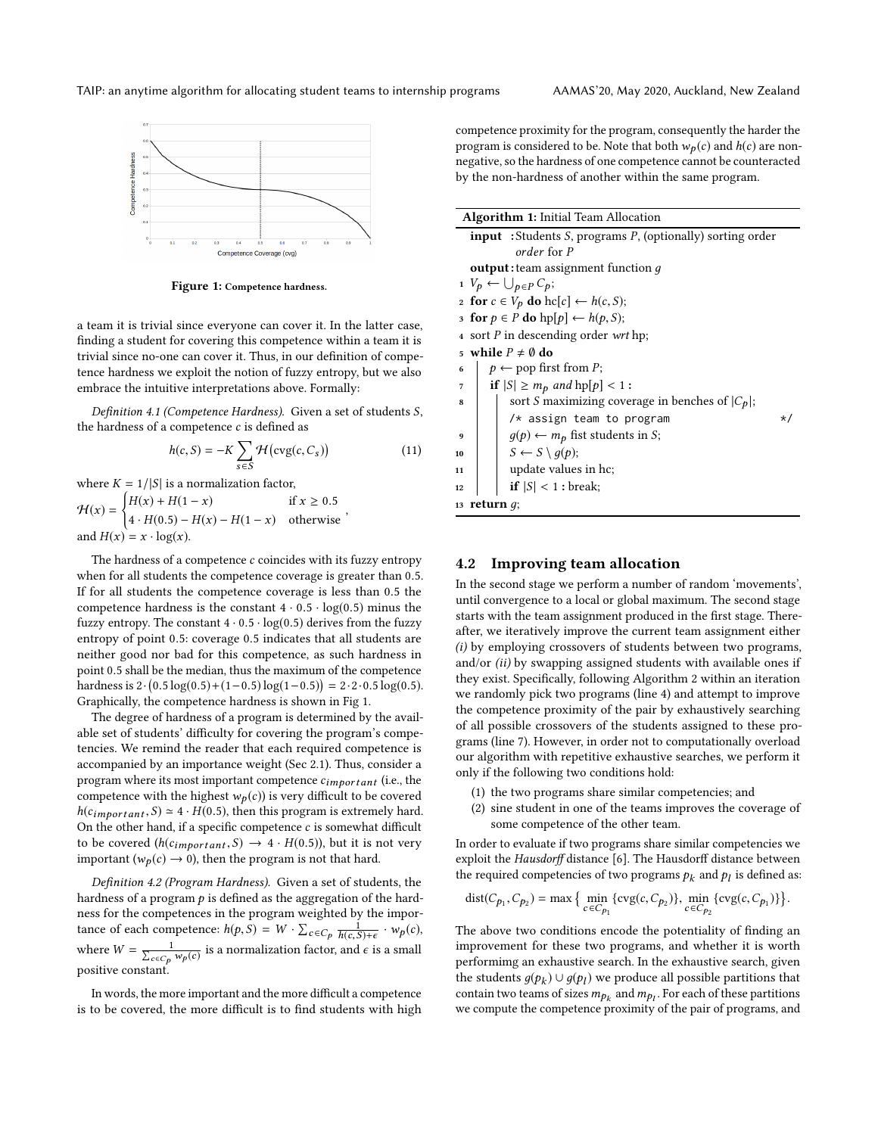<span id="page-4-0"></span>

Figure 1: Competence hardness.

a team it is trivial since everyone can cover it. In the latter case, finding a student for covering this competence within a team it is trivial since no-one can cover it. Thus, in our definition of competence hardness we exploit the notion of fuzzy entropy, but we also embrace the intuitive interpretations above. Formally:

Definition 4.1 (Competence Hardness). Given a set of students S, the hardness of a competence  $c$  is defined as

$$
h(c, S) = -K \sum_{s \in S} \mathcal{H}(\text{cvg}(c, C_s))
$$
 (11)

,

where  $K = 1/|S|$  is a normalization factor, where  $K = 1/|S|$  is a normalization factor,

 $\mathcal{H}(x) =$  $\begin{cases} H(x) + H(1-x) & \text{if } x \ge 0.5 \\ H(x, 1) & \text{if } x \ge 0.5 \end{cases}$  $4 \cdot H(0.5) - H(x) - H(1-x)$  otherwise and  $H(x) = x \cdot \log(x)$ 

The hardness of a competence  $c$  coincides with its fuzzy entropy when for all students the competence coverage is greater than <sup>0</sup>.5. If for all students the competence coverage is less than <sup>0</sup>.<sup>5</sup> the competence hardness is the constant  $4 \cdot 0.5 \cdot \log(0.5)$  minus the fuzzy entropy. The constant  $4 \cdot 0.5 \cdot \log(0.5)$  derives from the fuzzy entropy of point <sup>0</sup>.5: coverage <sup>0</sup>.<sup>5</sup> indicates that all students are neither good nor bad for this competence, as such hardness in point <sup>0</sup>.<sup>5</sup> shall be the median, thus the maximum of the competence hardness is  $2 \cdot (0.5 \log(0.5) + (1 - 0.5) \log(1 - 0.5)) = 2 \cdot 2 \cdot 0.5 \log(0.5)$ .<br>Craphically the competence bardness is shown in Fig. 1. Graphically, the competence hardness is shown in Fig [1.](#page-4-0)

The degree of hardness of a program is determined by the available set of students' difficulty for covering the program's competencies. We remind the reader that each required competence is accompanied by an importance weight (Sec [2.1\)](#page-0-1). Thus, consider a program where its most important competence  $c_{important}$  (i.e., the competence with the highest  $w_p(c)$ ) is very difficult to be covered  $h(c_{\text{important}}, S) \simeq 4 \cdot H(0.5)$ , then this program is extremely hard. On the other hand, if a specific competence  $c$  is somewhat difficult to be covered  $(h(c_{\text{important}}, S) \rightarrow 4 \cdot H(0.5))$ , but it is not very important ( $w_p(c) \rightarrow 0$ ), then the program is not that hard.

Definition 4.2 (Program Hardness). Given a set of students, the hardness of a program  $p$  is defined as the aggregation of the hardness for the competences in the program weighted by the importance of each competence:  $h(p, S) = W \cdot \sum_{c \in C_p} \frac{1}{h(c, S) + \epsilon} \cdot w_p(c)$ where  $W = \frac{1}{\sum_{c \in C_p} w_p(c)}$  is a normalization factor, and  $\epsilon$  is a small positive constant.

In words, the more important and the more difficult a competence is to be covered, the more difficult is to find students with high competence proximity for the program, consequently the harder the program is considered to be. Note that both  $w_p(c)$  and  $h(c)$  are nonnegative, so the hardness of one competence cannot be counteracted by the non-hardness of another within the same program.

| <b>Algorithm 1: Initial Team Allocation</b>                       |  |  |  |  |  |  |  |
|-------------------------------------------------------------------|--|--|--|--|--|--|--|
| <b>input</b> : Students S, programs P, (optionally) sorting order |  |  |  |  |  |  |  |
| order for P                                                       |  |  |  |  |  |  |  |
| <b>output</b> : team assignment function $q$                      |  |  |  |  |  |  |  |
| $1 \ V_p \leftarrow \bigcup_{p \in P} C_p;$                       |  |  |  |  |  |  |  |
| 2 for $c \in V_p$ do hc[c] $\leftarrow h(c, S)$ ;                 |  |  |  |  |  |  |  |
| 3 for $p \in P$ do $hp[p] \leftarrow h(p, S)$ ;                   |  |  |  |  |  |  |  |
| 4 sort P in descending order wrt hp;                              |  |  |  |  |  |  |  |
| while $P \neq \emptyset$ do<br>5                                  |  |  |  |  |  |  |  |
| $p \leftarrow$ pop first from P;<br>6                             |  |  |  |  |  |  |  |
| if $ S  \ge m_p$ and $hp[p] < 1$ :<br>7                           |  |  |  |  |  |  |  |
| sort <i>S</i> maximizing coverage in benches of $ C_p $ ;<br>8    |  |  |  |  |  |  |  |
| $/*$ assign team to program<br>* /                                |  |  |  |  |  |  |  |
| $g(p) \leftarrow m_p$ fist students in S;<br>9                    |  |  |  |  |  |  |  |
| $S \leftarrow S \setminus g(p);$<br>10                            |  |  |  |  |  |  |  |
| update values in hc;<br>11                                        |  |  |  |  |  |  |  |
| if $ S $ < 1 : break;<br>12                                       |  |  |  |  |  |  |  |
| 13 return $q$ ;                                                   |  |  |  |  |  |  |  |
|                                                                   |  |  |  |  |  |  |  |

#### 4.2 Improving team allocation

In the second stage we perform a number of random 'movements', until convergence to a local or global maximum. The second stage starts with the team assignment produced in the first stage. Thereafter, we iteratively improve the current team assignment either (i) by employing crossovers of students between two programs, and/or (ii) by swapping assigned students with available ones if they exist. Specifically, following Algorithm [2](#page-5-1) within an iteration we randomly pick two programs (line [4\)](#page-5-2) and attempt to improve the competence proximity of the pair by exhaustively searching of all possible crossovers of the students assigned to these programs (line [7\)](#page-5-3). However, in order not to computationally overload our algorithm with repetitive exhaustive searches, we perform it only if the following two conditions hold:

- (1) the two programs share similar competencies; and
- (2) sine student in one of the teams improves the coverage of some competence of the other team.

In order to evaluate if two programs share similar competencies we exploit the Hausdorff distance [\[6\]](#page-6-13). The Hausdorff distance between the required competencies of two programs  $p_k$  and  $p_l$  is defined as:

dist(
$$
C_{p_1}
$$
,  $C_{p_2}$ ) = max { min <sub>$c \in C_{p_1}$</sub>  { $\text{cvg}(c, C_{p_2})$ }, min <sub>$c \in C_{p_2}$</sub>  { $\text{cvg}(c, C_{p_1})$  } }.

The above two conditions encode the potentiality of finding an improvement for these two programs, and whether it is worth performimg an exhaustive search. In the exhaustive search, given the students  $g(p_k) \cup g(p_l)$  we produce all possible partitions that<br>contain two teams of sizes  $m_k$ , and  $m_k$ . For each of these partitions contain two teams of sizes  $m p_k$  and  $m p_l$ . For each of these partitions<br>we compute the compatence provinity of the pair of programs, and we compute the competence proximity of the pair of programs, and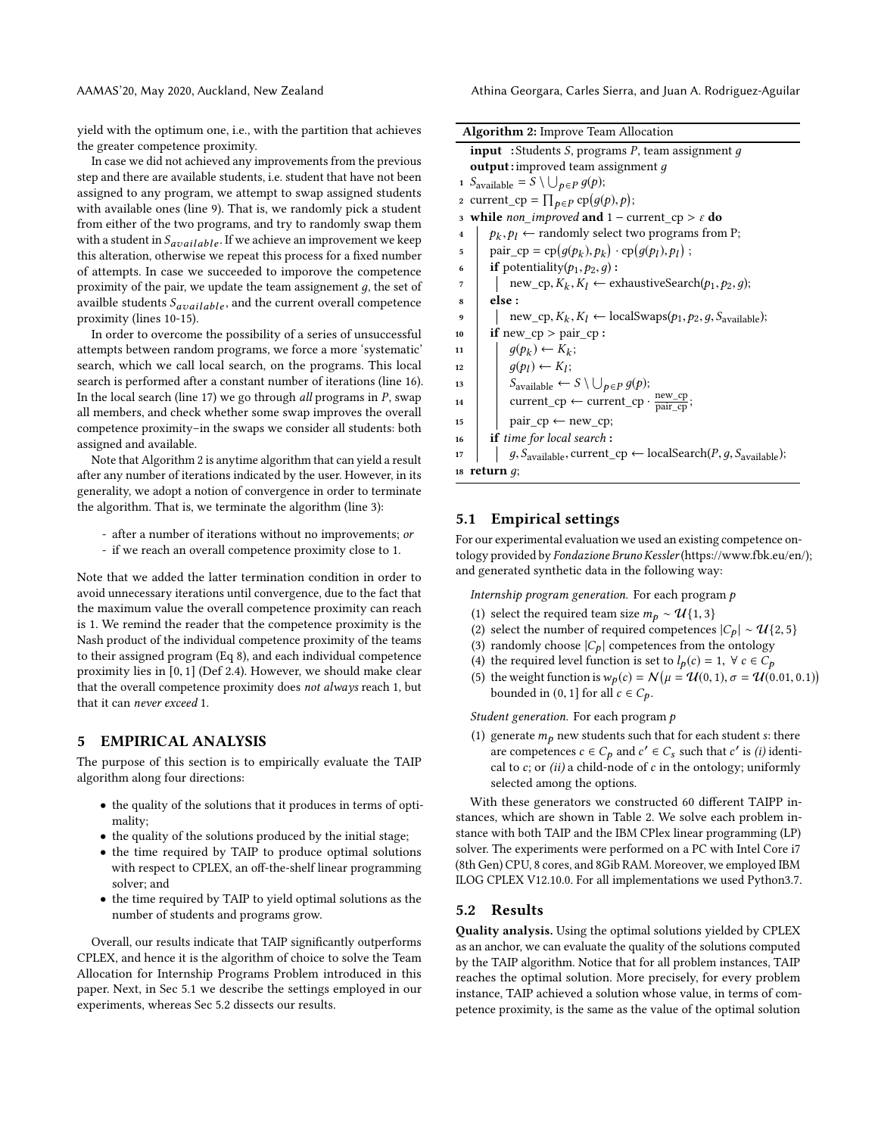AAMAS'20, May 2020, Auckland, New Zealand Athina Georgara, Carles Sierra, and Juan A. Rodriguez-Aguilar

yield with the optimum one, i.e., with the partition that achieves the greater competence proximity.

In case we did not achieved any improvements from the previous step and there are available students, i.e. student that have not been assigned to any program, we attempt to swap assigned students with available ones (line [9\)](#page-5-4). That is, we randomly pick a student from either of the two programs, and try to randomly swap them with a student in  $S_{available}$ . If we achieve an improvement we keep this alteration, otherwise we repeat this process for a fixed number of attempts. In case we succeeded to imporove the competence proximity of the pair, we update the team assignement  $q$ , the set of availble students  $S_{available}$ , and the current overall competence proximity (lines [10-](#page-5-5)[15\)](#page-5-6).

In order to overcome the possibility of a series of unsuccessful attempts between random programs, we force a more 'systematic' search, which we call local search, on the programs. This local search is performed after a constant number of iterations (line [16\)](#page-5-7). In the local search (line [17\)](#page-5-8) we go through *all* programs in  $P$ , swap all members, and check whether some swap improves the overall competence proximity–in the swaps we consider all students: both assigned and available.

Note that Algorithm [2](#page-5-1) is anytime algorithm that can yield a result after any number of iterations indicated by the user. However, in its generality, we adopt a notion of convergence in order to terminate the algorithm. That is, we terminate the algorithm (line [3\)](#page-5-9):

- after a number of iterations without no improvements; or
- if we reach an overall competence proximity close to 1.

Note that we added the latter termination condition in order to avoid unnecessary iterations until convergence, due to the fact that the maximum value the overall competence proximity can reach is 1. We remind the reader that the competence proximity is the Nash product of the individual competence proximity of the teams to their assigned program (Eq [8\)](#page-3-4), and each individual competence proximity lies in [0, <sup>1</sup>] (Def [2.4\)](#page-2-1). However, we should make clear that the overall competence proximity does not always reach 1, but that it can never exceed 1.

### <span id="page-5-0"></span>5 EMPIRICAL ANALYSIS

The purpose of this section is to empirically evaluate the TAIP algorithm along four directions:

- the quality of the solutions that it produces in terms of optimality;
- the quality of the solutions produced by the initial stage;
- the time required by TAIP to produce optimal solutions with respect to CPLEX, an off-the-shelf linear programming solver; and
- the time required by TAIP to yield optimal solutions as the number of students and programs grow.

Overall, our results indicate that TAIP significantly outperforms CPLEX, and hence it is the algorithm of choice to solve the Team Allocation for Internship Programs Problem introduced in this paper. Next, in Sec [5.1](#page-5-10) we describe the settings employed in our experiments, whereas Sec [5.2](#page-5-11) dissects our results.

<span id="page-5-9"></span><span id="page-5-4"></span><span id="page-5-3"></span><span id="page-5-2"></span><span id="page-5-1"></span>

| <b>Algorithm 2:</b> Improve Team Allocation                                                                    |  |  |  |  |  |  |  |  |  |  |
|----------------------------------------------------------------------------------------------------------------|--|--|--|--|--|--|--|--|--|--|
| <b>input</b> : Students S, programs P, team assignment $q$                                                     |  |  |  |  |  |  |  |  |  |  |
| <b>output:</b> improved team assignment $q$                                                                    |  |  |  |  |  |  |  |  |  |  |
| 1 $S_{\text{available}} = S \setminus \bigcup_{p \in P} g(p);$                                                 |  |  |  |  |  |  |  |  |  |  |
| 2 current_cp = $\prod_{p \in P}$ cp $(g(p), p)$ ;                                                              |  |  |  |  |  |  |  |  |  |  |
| while <i>non_improved</i> and $1$ – current_cp > $\varepsilon$ do<br>3                                         |  |  |  |  |  |  |  |  |  |  |
| $p_k, p_l \leftarrow$ randomly select two programs from P;<br>$\overline{\mathbf{4}}$                          |  |  |  |  |  |  |  |  |  |  |
| pair_cp = cp( $q(p_k), p_k$ ) · cp( $q(p_l), p_l$ );<br>5                                                      |  |  |  |  |  |  |  |  |  |  |
| <b>if</b> potentiality( $p_1, p_2, q$ ):<br>6                                                                  |  |  |  |  |  |  |  |  |  |  |
| $new\_cp, K_k, K_l \leftarrow$ exhaustiveSearch( $p_1, p_2, g$ );<br>7                                         |  |  |  |  |  |  |  |  |  |  |
| else :<br>8                                                                                                    |  |  |  |  |  |  |  |  |  |  |
| $new_c$ ; $K_k$ , $K_l \leftarrow$ localSwaps( $p_1, p_2, g, S_{available}$ );<br>9                            |  |  |  |  |  |  |  |  |  |  |
| if $new_c$ $p > pair_c$ $p$ :<br>10                                                                            |  |  |  |  |  |  |  |  |  |  |
| $q(p_k) \leftarrow K_k$ ;                                                                                      |  |  |  |  |  |  |  |  |  |  |
| $q(p_l) \leftarrow K_l;$<br>12                                                                                 |  |  |  |  |  |  |  |  |  |  |
| $S_{\text{available}} \leftarrow S \setminus \bigcup_{p \in P} g(p);$                                          |  |  |  |  |  |  |  |  |  |  |
| current_cp $\leftarrow$ current_cp $\cdot \frac{\text{new\_cp}}{\text{pair cop}}$ ;<br>14                      |  |  |  |  |  |  |  |  |  |  |
| $pair\_cp \leftarrow new\_cp;$<br>15                                                                           |  |  |  |  |  |  |  |  |  |  |
| <b>if</b> time for local search:<br>16                                                                         |  |  |  |  |  |  |  |  |  |  |
| $g, S_{\text{available}}$ , current_cp $\leftarrow$ localSearch( <i>P</i> , $g, S_{\text{available}}$ );<br>17 |  |  |  |  |  |  |  |  |  |  |
| 18 return $q$ ;                                                                                                |  |  |  |  |  |  |  |  |  |  |

# <span id="page-5-10"></span><span id="page-5-8"></span><span id="page-5-7"></span><span id="page-5-6"></span><span id="page-5-5"></span>5.1 Empirical settings

For our experimental evaluation we used an existing competence ontology provided by Fondazione Bruno Kessler(https://www.fbk.eu/en/); and generated synthetic data in the following way:

Internship program generation. For each program p

- (1) select the required team size  $m_p \sim \mathcal{U}\{1,3\}$
- (2) select the number of required competences  $|C_p| \sim \mathcal{U}{2, 5}$
- (3) randomly choose  $|C_p|$  competences from the ontology
- (4) the required level function is set to  $l_p(c) = 1$ ,  $\forall c \in C_p$
- (5) the weight function is  $w_p(c) = N(\mu = \mathcal{U}(0, 1), \sigma = \mathcal{U}(0.01, 0.1))$ <br>bounded in (0, 1) for all  $c \in C$ bounded in (0, 1] for all  $c \in C_p$ .

Student generation. For each program p

(1) generate  $m<sub>p</sub>$  new students such that for each student s: there are competences  $c \in C_p$  and  $c' \in C_s$  such that c' is (i) identi-<br>cal to c; or (ii) a child-node of c in the ontology; uniformly cal to  $c$ ; or  $(ii)$  a child-node of  $c$  in the ontology; uniformly selected among the options.

With these generators we constructed 60 different TAIPP instances, which are shown in Table [2.](#page-7-0) We solve each problem instance with both TAIP and the IBM CPlex linear programming (LP) solver. The experiments were performed on a PC with Intel Core i7 (8th Gen) CPU, 8 cores, and 8Gib RAM. Moreover, we employed IBM ILOG CPLEX V12.10.0. For all implementations we used Python3.7.

#### <span id="page-5-11"></span>5.2 Results

Quality analysis. Using the optimal solutions yielded by CPLEX as an anchor, we can evaluate the quality of the solutions computed by the TAIP algorithm. Notice that for all problem instances, TAIP reaches the optimal solution. More precisely, for every problem instance, TAIP achieved a solution whose value, in terms of competence proximity, is the same as the value of the optimal solution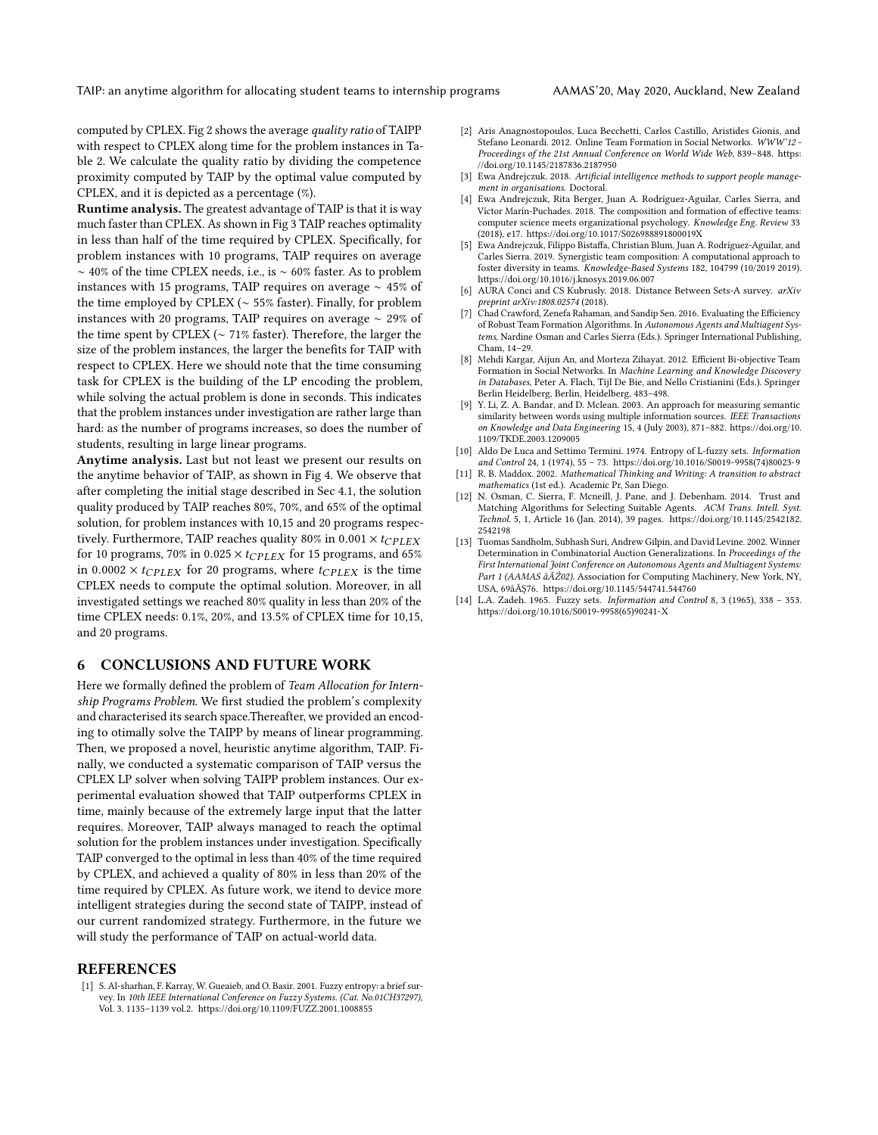TAIP: an anytime algorithm for allocating student teams to internship programs AAMAS'20, May 2020, Auckland, New Zealand

computed by CPLEX. Fig [2](#page-7-1) shows the average quality ratio of TAIPP with respect to CPLEX along time for the problem instances in Table [2.](#page-7-0) We calculate the quality ratio by dividing the competence proximity computed by TAIP by the optimal value computed by CPLEX, and it is depicted as a percentage (%).

Runtime analysis. The greatest advantage of TAIP is that it is way much faster than CPLEX. As shown in Fig [3](#page-8-0) TAIP reaches optimality in less than half of the time required by CPLEX. Specifically, for problem instances with 10 programs, TAIP requires on average ∼ 40% of the time CPLEX needs, i.e., is ∼ 60% faster. As to problem instances with 15 programs, TAIP requires on average ∼ 45% of the time employed by CPLEX (∼ 55% faster). Finally, for problem instances with 20 programs, TAIP requires on average ∼ 29% of the time spent by CPLEX (∼ 71% faster). Therefore, the larger the size of the problem instances, the larger the benefits for TAIP with respect to CPLEX. Here we should note that the time consuming task for CPLEX is the building of the LP encoding the problem, while solving the actual problem is done in seconds. This indicates that the problem instances under investigation are rather large than hard: as the number of programs increases, so does the number of students, resulting in large linear programs.

Anytime analysis. Last but not least we present our results on the anytime behavior of TAIP, as shown in Fig [4.](#page-9-0) We observe that after completing the initial stage described in Sec [4.1,](#page-3-7) the solution quality produced by TAIP reaches 80%, 70%, and 65% of the optimal solution, for problem instances with 10,15 and 20 programs respectively. Furthermore, TAIP reaches quality 80% in 0.001  $\times$  t<sub>CPLEX</sub> for 10 programs, 70% in 0.025  $\times$  t<sub>CPLEX</sub> for 15 programs, and 65% in 0.0002  $\times$  t<sub>CPLEX</sub> for 20 programs, where t<sub>CPLEX</sub> is the time CPLEX needs to compute the optimal solution. Moreover, in all investigated settings we reached 80% quality in less than 20% of the time CPLEX needs: 0.1%, 20%, and 13.5% of CPLEX time for 10,15, and 20 programs.

# 6 CONCLUSIONS AND FUTURE WORK

Here we formally defined the problem of Team Allocation for Internship Programs Problem. We first studied the problem's complexity and characterised its search space.Thereafter, we provided an encoding to otimally solve the TAIPP by means of linear programming. Then, we proposed a novel, heuristic anytime algorithm, TAIP. Finally, we conducted a systematic comparison of TAIP versus the CPLEX LP solver when solving TAIPP problem instances. Our experimental evaluation showed that TAIP outperforms CPLEX in time, mainly because of the extremely large input that the latter requires. Moreover, TAIP always managed to reach the optimal solution for the problem instances under investigation. Specifically TAIP converged to the optimal in less than 40% of the time required by CPLEX, and achieved a quality of 80% in less than 20% of the time required by CPLEX. As future work, we itend to device more intelligent strategies during the second state of TAIPP, instead of our current randomized strategy. Furthermore, in the future we will study the performance of TAIP on actual-world data.

#### **REFERENCES**

<span id="page-6-11"></span>[1] S. Al-sharhan, F. Karray, W. Gueaieb, and O. Basir. 2001. Fuzzy entropy: a brief survey. In 10th IEEE International Conference on Fuzzy Systems. (Cat. No.01CH37297), Vol. 3. 1135–1139 vol.2.<https://doi.org/10.1109/FUZZ.2001.1008855>

- <span id="page-6-1"></span>[2] Aris Anagnostopoulos, Luca Becchetti, Carlos Castillo, Aristides Gionis, and Stefano Leonardi. 2012. Online Team Formation in Social Networks. WWW'12 - Proceedings of the 21st Annual Conference on World Wide Web, 839–848. [https:](https://doi.org/10.1145/2187836.2187950) [//doi.org/10.1145/2187836.2187950](https://doi.org/10.1145/2187836.2187950)
- <span id="page-6-7"></span>[3] Ewa Andrejczuk. 2018. Artificial intelligence methods to support people management in organisations. Doctoral.
- <span id="page-6-0"></span>[4] Ewa Andrejczuk, Rita Berger, Juan A. Rodríguez-Aguilar, Carles Sierra, and Víctor Marín-Puchades. 2018. The composition and formation of effective teams: computer science meets organizational psychology. Knowledge Eng. Review 33 (2018), e17.<https://doi.org/10.1017/S026988891800019X>
- <span id="page-6-4"></span>[5] Ewa Andrejczuk, Filippo Bistaffa, Christian Blum, Juan A. Rodríguez-Aguilar, and Carles Sierra. 2019. Synergistic team composition: A computational approach to foster diversity in teams. Knowledge-Based Systems 182, 104799 (10/2019 2019). <https://doi.org/10.1016/j.knosys.2019.06.007>
- <span id="page-6-13"></span>[6] AURA Conci and CS Kubrusly. 2018. Distance Between Sets-A survey. arXiv preprint arXiv:1808.02574 (2018).
- <span id="page-6-3"></span>[7] Chad Crawford, Zenefa Rahaman, and Sandip Sen. 2016. Evaluating the Efficiency of Robust Team Formation Algorithms. In Autonomous Agents and Multiagent Systems, Nardine Osman and Carles Sierra (Eds.). Springer International Publishing, Cham, 14–29.
- <span id="page-6-2"></span>[8] Mehdi Kargar, Aijun An, and Morteza Zihayat. 2012. Efficient Bi-objective Team Formation in Social Networks. In Machine Learning and Knowledge Discovery in Databases, Peter A. Flach, Tijl De Bie, and Nello Cristianini (Eds.). Springer Berlin Heidelberg, Berlin, Heidelberg, 483–498.
- <span id="page-6-5"></span>[9] Y. Li, Z. A. Bandar, and D. Mclean. 2003. An approach for measuring semantic similarity between words using multiple information sources. IEEE Transactions on Knowledge and Data Engineering 15, 4 (July 2003), 871–882. [https://doi.org/10.](https://doi.org/10.1109/TKDE.2003.1209005) [1109/TKDE.2003.1209005](https://doi.org/10.1109/TKDE.2003.1209005)
- <span id="page-6-12"></span>[10] Aldo De Luca and Settimo Termini. 1974. Entropy of L-fuzzy sets. Information and Control 24, 1 (1974), 55 – 73. [https://doi.org/10.1016/S0019-9958\(74\)80023-9](https://doi.org/10.1016/S0019-9958(74)80023-9)
- <span id="page-6-9"></span>[11] R. B. Maddox. 2002. Mathematical Thinking and Writing: A transition to abstract mathematics (1st ed.). Academic Pr, San Diego.
- <span id="page-6-6"></span>[12] N. Osman, C. Sierra, F. Mcneill, J. Pane, and J. Debenham. 2014. Trust and Matching Algorithms for Selecting Suitable Agents. ACM Trans. Intell. Syst. Technol. 5, 1, Article 16 (Jan. 2014), 39 pages. [https://doi.org/10.1145/2542182.](https://doi.org/10.1145/2542182.2542198) [2542198](https://doi.org/10.1145/2542182.2542198)
- <span id="page-6-8"></span>[13] Tuomas Sandholm, Subhash Suri, Andrew Gilpin, and David Levine. 2002. Winner Determination in Combinatorial Auction Generalizations. In Proceedings of the First International Joint Conference on Autonomous Agents and Multiagent Systems: Part 1 (AAMAS âĂŽ02). Association for Computing Machinery, New York, NY, USA, 69âĂŞ76.<https://doi.org/10.1145/544741.544760>
- <span id="page-6-10"></span>[14] L.A. Zadeh. 1965. Fuzzy sets. Information and Control 8, 3 (1965), 338 – 353. [https://doi.org/10.1016/S0019-9958\(65\)90241-X](https://doi.org/10.1016/S0019-9958(65)90241-X)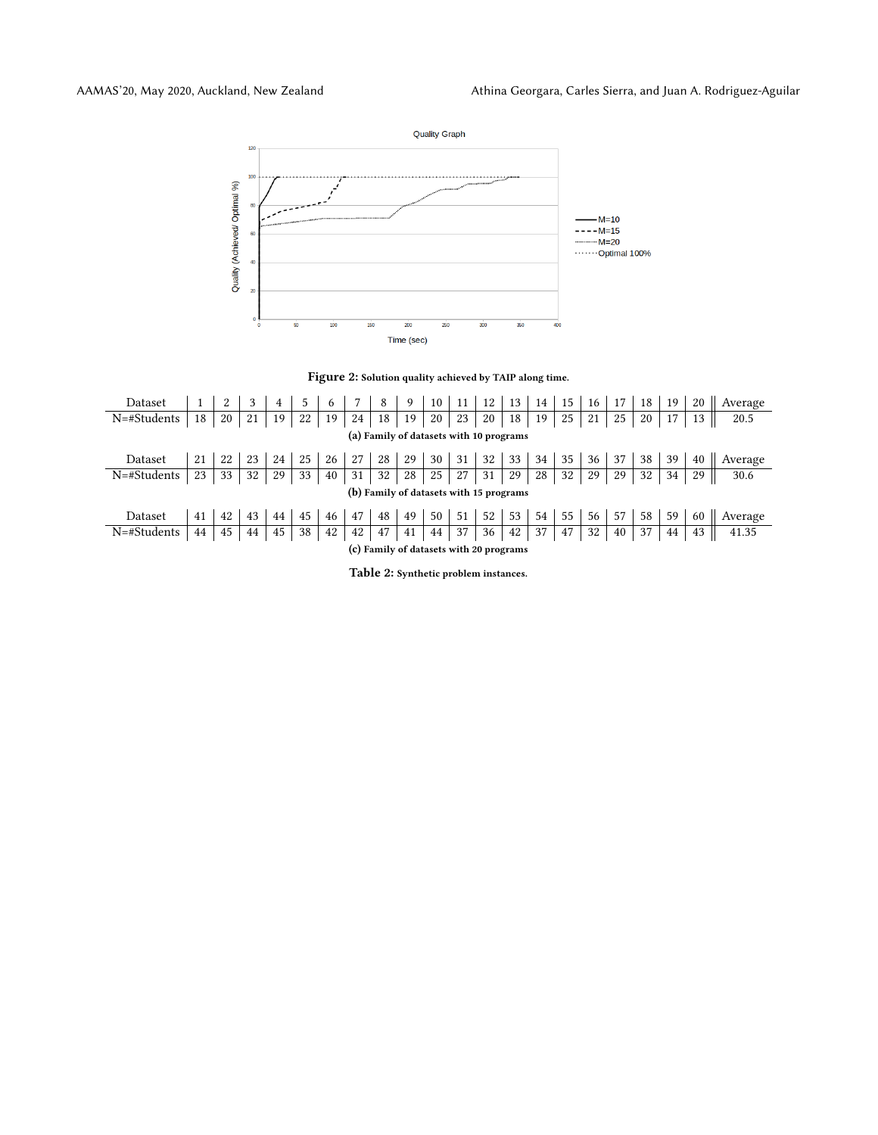<span id="page-7-1"></span>

Figure 2: Solution quality achieved by TAIP along time.

<span id="page-7-0"></span>

| Dataset                                 |    |    |    | 4  | 5  | 6  |    | 8  | 9  | 10 |    | 12 | 13 | 14 | 15 | 16 | 17 | 18 | 19 | 20 | Average |
|-----------------------------------------|----|----|----|----|----|----|----|----|----|----|----|----|----|----|----|----|----|----|----|----|---------|
| N=#Students                             | 18 | 20 | 21 | 19 | 22 | 19 | 24 | 18 | 19 | 20 | 23 | 20 | 18 | 19 | 25 | 21 | 25 | 20 |    | 13 | 20.5    |
| (a) Family of datasets with 10 programs |    |    |    |    |    |    |    |    |    |    |    |    |    |    |    |    |    |    |    |    |         |
| Dataset                                 | 21 | 22 | 23 | 24 | 25 | 26 | 27 | 28 | 29 | 30 | 31 | 32 | 33 | 34 | 35 | 36 | 37 | 38 | 39 | 40 | Average |
| N=#Students                             | 23 | 33 | 32 | 29 | 33 | 40 | 31 | 32 | 28 | 25 | 27 | 31 | 29 | 28 | 32 | 29 | 29 | 32 | 34 | 29 | 30.6    |
| (b) Family of datasets with 15 programs |    |    |    |    |    |    |    |    |    |    |    |    |    |    |    |    |    |    |    |    |         |
| Dataset                                 | 41 | 42 | 43 | 44 | 45 | 46 | 47 | 48 | 49 | 50 | 51 | 52 | 53 | 54 | 55 | 56 | 57 | 58 | 59 | 60 | Average |
| $N=\# Students$                         | 44 | 45 | 44 | 45 | 38 | 42 | 42 | 47 | 41 | 44 | 37 | 36 | 42 | 37 | 47 | 32 | 40 | 37 | 44 | 43 | 41.35   |
| (c) Family of datasets with 20 programs |    |    |    |    |    |    |    |    |    |    |    |    |    |    |    |    |    |    |    |    |         |

Table 2: Synthetic problem instances.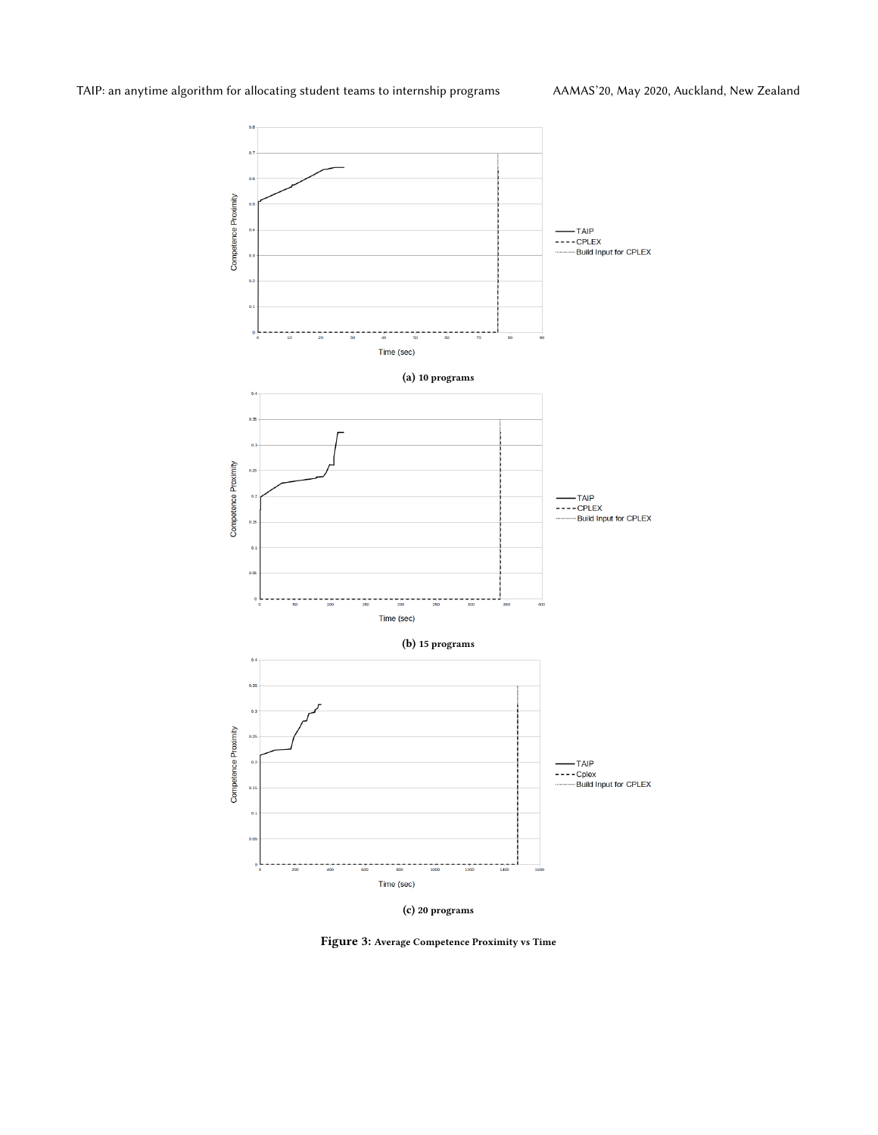<span id="page-8-0"></span>

(c) 20 programs

Figure 3: Average Competence Proximity vs Time